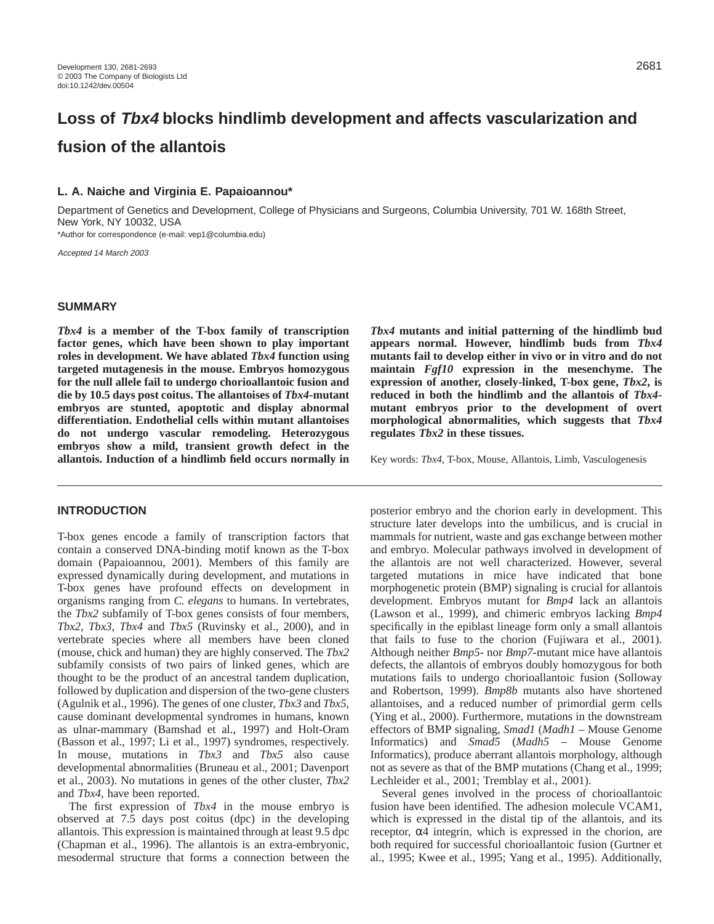# **Loss of Tbx4 blocks hindlimb development and affects vascularization and fusion of the allantois**

# **L. A. Naiche and Virginia E. Papaioannou\***

Department of Genetics and Development, College of Physicians and Surgeons, Columbia University, 701 W. 168th Street, New York, NY 10032, USA

\*Author for correspondence (e-mail: vep1@columbia.edu)

Accepted 14 March 2003

## **SUMMARY**

*Tbx4* **is a member of the T-box family of transcription factor genes, which have been shown to play important roles in development. We have ablated** *Tbx4* **function using targeted mutagenesis in the mouse. Embryos homozygous for the null allele fail to undergo chorioallantoic fusion and die by 10.5 days post coitus. The allantoises of** *Tbx4***-mutant embryos are stunted, apoptotic and display abnormal differentiation. Endothelial cells within mutant allantoises do not undergo vascular remodeling. Heterozygous embryos show a mild, transient growth defect in the allantois. Induction of a hindlimb field occurs normally in**

### **INTRODUCTION**

T-box genes encode a family of transcription factors that contain a conserved DNA-binding motif known as the T-box domain (Papaioannou, 2001). Members of this family are expressed dynamically during development, and mutations in T-box genes have profound effects on development in organisms ranging from *C. elegans* to humans. In vertebrates, the *Tbx2* subfamily of T-box genes consists of four members, *Tbx2, Tbx3, Tbx4* and *Tbx5* (Ruvinsky et al., 2000), and in vertebrate species where all members have been cloned (mouse, chick and human) they are highly conserved. The *Tbx2* subfamily consists of two pairs of linked genes, which are thought to be the product of an ancestral tandem duplication, followed by duplication and dispersion of the two-gene clusters (Agulnik et al., 1996). The genes of one cluster, *Tbx3* and *Tbx5*, cause dominant developmental syndromes in humans, known as ulnar-mammary (Bamshad et al., 1997) and Holt-Oram (Basson et al., 1997; Li et al., 1997) syndromes, respectively. In mouse, mutations in *Tbx3* and *Tbx5* also cause developmental abnormalities (Bruneau et al., 2001; Davenport et al., 2003). No mutations in genes of the other cluster, *Tbx2* and *Tbx4*, have been reported.

The first expression of *Tbx4* in the mouse embryo is observed at 7.5 days post coitus (dpc) in the developing allantois. This expression is maintained through at least 9.5 dpc (Chapman et al., 1996). The allantois is an extra-embryonic, mesodermal structure that forms a connection between the *Tbx4* **mutants and initial patterning of the hindlimb bud appears normal. However, hindlimb buds from** *Tbx4* **mutants fail to develop either in vivo or in vitro and do not maintain** *Fgf10* **expression in the mesenchyme. The expression of another, closely-linked, T-box gene,** *Tbx2***, is reduced in both the hindlimb and the allantois of** *Tbx4* **mutant embryos prior to the development of overt morphological abnormalities, which suggests that** *Tbx4* **regulates** *Tbx2* **in these tissues.** 

Key words: *Tbx4*, T-box, Mouse, Allantois, Limb, Vasculogenesis

posterior embryo and the chorion early in development. This structure later develops into the umbilicus, and is crucial in mammals for nutrient, waste and gas exchange between mother and embryo. Molecular pathways involved in development of the allantois are not well characterized. However, several targeted mutations in mice have indicated that bone morphogenetic protein (BMP) signaling is crucial for allantois development. Embryos mutant for *Bmp4* lack an allantois (Lawson et al., 1999), and chimeric embryos lacking *Bmp4* specifically in the epiblast lineage form only a small allantois that fails to fuse to the chorion (Fujiwara et al., 2001). Although neither *Bmp5*- nor *Bmp7*-mutant mice have allantois defects, the allantois of embryos doubly homozygous for both mutations fails to undergo chorioallantoic fusion (Solloway and Robertson, 1999). *Bmp8b* mutants also have shortened allantoises, and a reduced number of primordial germ cells (Ying et al., 2000). Furthermore, mutations in the downstream effectors of BMP signaling, *Smad1* (*Madh1* – Mouse Genome Informatics) and *Smad5* (*Madh5* – Mouse Genome Informatics), produce aberrant allantois morphology, although not as severe as that of the BMP mutations (Chang et al., 1999; Lechleider et al., 2001; Tremblay et al., 2001).

Several genes involved in the process of chorioallantoic fusion have been identified. The adhesion molecule VCAM1, which is expressed in the distal tip of the allantois, and its receptor, α4 integrin, which is expressed in the chorion, are both required for successful chorioallantoic fusion (Gurtner et al., 1995; Kwee et al., 1995; Yang et al., 1995). Additionally,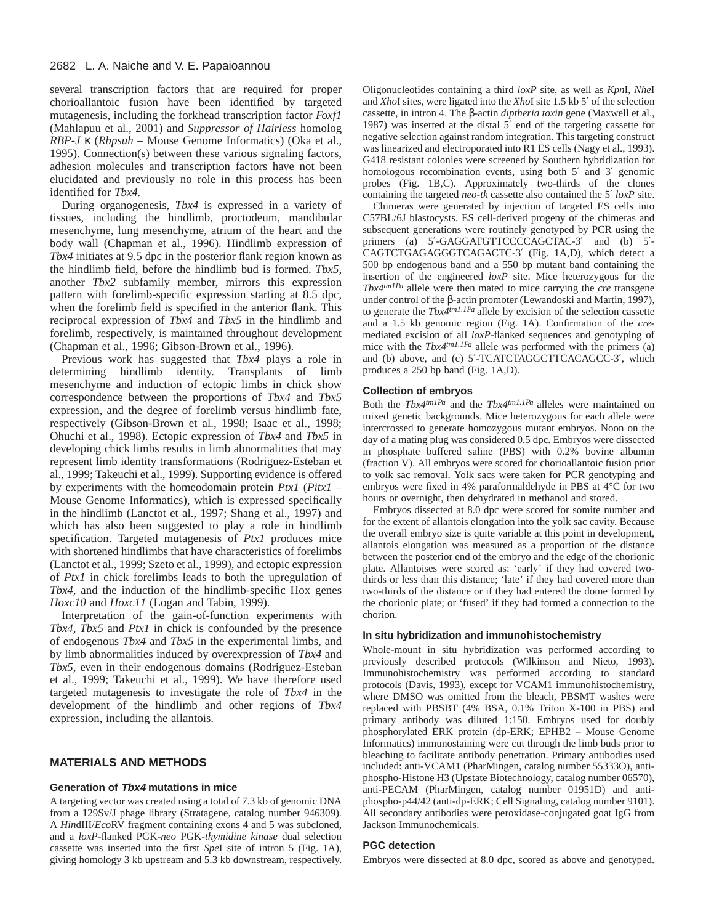several transcription factors that are required for proper chorioallantoic fusion have been identified by targeted mutagenesis, including the forkhead transcription factor *Foxf1* (Mahlapuu et al., 2001) and *Suppressor of Hairless* homolog *RBP-J* κ (*Rbpsuh* – Mouse Genome Informatics) (Oka et al., 1995). Connection(s) between these various signaling factors, adhesion molecules and transcription factors have not been elucidated and previously no role in this process has been identified for *Tbx4.*

During organogenesis, *Tbx4* is expressed in a variety of tissues, including the hindlimb, proctodeum, mandibular mesenchyme, lung mesenchyme, atrium of the heart and the body wall (Chapman et al., 1996). Hindlimb expression of *Tbx4* initiates at 9.5 dpc in the posterior flank region known as the hindlimb field, before the hindlimb bud is formed. *Tbx5*, another *Tbx2* subfamily member, mirrors this expression pattern with forelimb-specific expression starting at 8.5 dpc, when the forelimb field is specified in the anterior flank. This reciprocal expression of *Tbx4* and *Tbx5* in the hindlimb and forelimb, respectively, is maintained throughout development (Chapman et al., 1996; Gibson-Brown et al., 1996).

Previous work has suggested that *Tbx4* plays a role in determining hindlimb identity. Transplants of limb mesenchyme and induction of ectopic limbs in chick show correspondence between the proportions of *Tbx4* and *Tbx5* expression, and the degree of forelimb versus hindlimb fate, respectively (Gibson-Brown et al., 1998; Isaac et al., 1998; Ohuchi et al., 1998). Ectopic expression of *Tbx4* and *Tbx5* in developing chick limbs results in limb abnormalities that may represent limb identity transformations (Rodriguez-Esteban et al., 1999; Takeuchi et al., 1999). Supporting evidence is offered by experiments with the homeodomain protein *Ptx1* (*Pitx1* – Mouse Genome Informatics), which is expressed specifically in the hindlimb (Lanctot et al., 1997; Shang et al., 1997) and which has also been suggested to play a role in hindlimb specification. Targeted mutagenesis of *Ptx1* produces mice with shortened hindlimbs that have characteristics of forelimbs (Lanctot et al., 1999; Szeto et al., 1999), and ectopic expression of *Ptx1* in chick forelimbs leads to both the upregulation of *Tbx4*, and the induction of the hindlimb-specific Hox genes *Hoxc10* and *Hoxc11* (Logan and Tabin, 1999).

Interpretation of the gain-of-function experiments with *Tbx4, Tbx5* and *Ptx1* in chick is confounded by the presence of endogenous *Tbx4* and *Tbx5* in the experimental limbs, and by limb abnormalities induced by overexpression of *Tbx4* and *Tbx5*, even in their endogenous domains (Rodriguez-Esteban et al., 1999; Takeuchi et al., 1999). We have therefore used targeted mutagenesis to investigate the role of *Tbx4* in the development of the hindlimb and other regions of *Tbx4* expression, including the allantois.

# **MATERIALS AND METHODS**

#### **Generation of Tbx4 mutations in mice**

A targeting vector was created using a total of 7.3 kb of genomic DNA from a 129Sv/J phage library (Stratagene, catalog number 946309). A *Hin*dIII/*Eco*RV fragment containing exons 4 and 5 was subcloned, and a *loxP*-flanked PGK-*neo* PGK-*thymidine kinase* dual selection cassette was inserted into the first *Spe*I site of intron 5 (Fig. 1A), giving homology 3 kb upstream and 5.3 kb downstream, respectively.

Oligonucleotides containing a third *loxP* site, as well as *Kpn*I, *Nhe*I and *Xho*I sites, were ligated into the *Xho*I site 1.5 kb 5′ of the selection cassette, in intron 4. The β-actin *diptheria toxin* gene (Maxwell et al., 1987) was inserted at the distal 5′ end of the targeting cassette for negative selection against random integration. This targeting construct was linearized and electroporated into R1 ES cells (Nagy et al., 1993). G418 resistant colonies were screened by Southern hybridization for homologous recombination events, using both 5' and 3' genomic probes (Fig. 1B,C). Approximately two-thirds of the clones containing the targeted *neo-tk* cassette also contained the 5′ *loxP* site.

Chimeras were generated by injection of targeted ES cells into C57BL/6J blastocysts. ES cell-derived progeny of the chimeras and subsequent generations were routinely genotyped by PCR using the primers (a) 5'-GAGGATGTTCCCCAGCTAC-3' and (b) 5'-CAGTCTGAGAGGGTCAGACTC-3′ (Fig. 1A,D), which detect a 500 bp endogenous band and a 550 bp mutant band containing the insertion of the engineered *loxP* site. Mice heterozygous for the *Tbx4tm1Pa* allele were then mated to mice carrying the *cre* transgene under control of the β-actin promoter (Lewandoski and Martin, 1997), to generate the *Tbx4tm1.1Pa* allele by excision of the selection cassette and a 1.5 kb genomic region (Fig. 1A). Confirmation of the *cre*mediated excision of all *loxP*-flanked sequences and genotyping of mice with the *Tbx4tm1.1Pa* allele was performed with the primers (a) and (b) above, and (c) 5′-TCATCTAGGCTTCACAGCC-3′, which produces a 250 bp band (Fig. 1A,D).

#### **Collection of embryos**

Both the *Tbx4tm1Pa* and the *Tbx4tm1.1Pa* alleles were maintained on mixed genetic backgrounds. Mice heterozygous for each allele were intercrossed to generate homozygous mutant embryos. Noon on the day of a mating plug was considered 0.5 dpc. Embryos were dissected in phosphate buffered saline (PBS) with 0.2% bovine albumin (fraction V). All embryos were scored for chorioallantoic fusion prior to yolk sac removal. Yolk sacs were taken for PCR genotyping and embryos were fixed in 4% paraformaldehyde in PBS at 4°C for two hours or overnight, then dehydrated in methanol and stored.

Embryos dissected at 8.0 dpc were scored for somite number and for the extent of allantois elongation into the yolk sac cavity. Because the overall embryo size is quite variable at this point in development, allantois elongation was measured as a proportion of the distance between the posterior end of the embryo and the edge of the chorionic plate. Allantoises were scored as: 'early' if they had covered twothirds or less than this distance; 'late' if they had covered more than two-thirds of the distance or if they had entered the dome formed by the chorionic plate; or 'fused' if they had formed a connection to the chorion.

#### **In situ hybridization and immunohistochemistry**

Whole-mount in situ hybridization was performed according to previously described protocols (Wilkinson and Nieto, 1993). Immunohistochemistry was performed according to standard protocols (Davis, 1993), except for VCAM1 immunohistochemistry, where DMSO was omitted from the bleach, PBSMT washes were replaced with PBSBT (4% BSA, 0.1% Triton X-100 in PBS) and primary antibody was diluted 1:150. Embryos used for doubly phosphorylated ERK protein (dp-ERK; EPHB2 – Mouse Genome Informatics) immunostaining were cut through the limb buds prior to bleaching to facilitate antibody penetration. Primary antibodies used included: anti-VCAM1 (PharMingen, catalog number 55333O), antiphospho-Histone H3 (Upstate Biotechnology, catalog number 06570), anti-PECAM (PharMingen, catalog number 01951D) and antiphospho-p44/42 (anti-dp-ERK; Cell Signaling, catalog number 9101). All secondary antibodies were peroxidase-conjugated goat IgG from Jackson Immunochemicals.

#### **PGC detection**

Embryos were dissected at 8.0 dpc, scored as above and genotyped.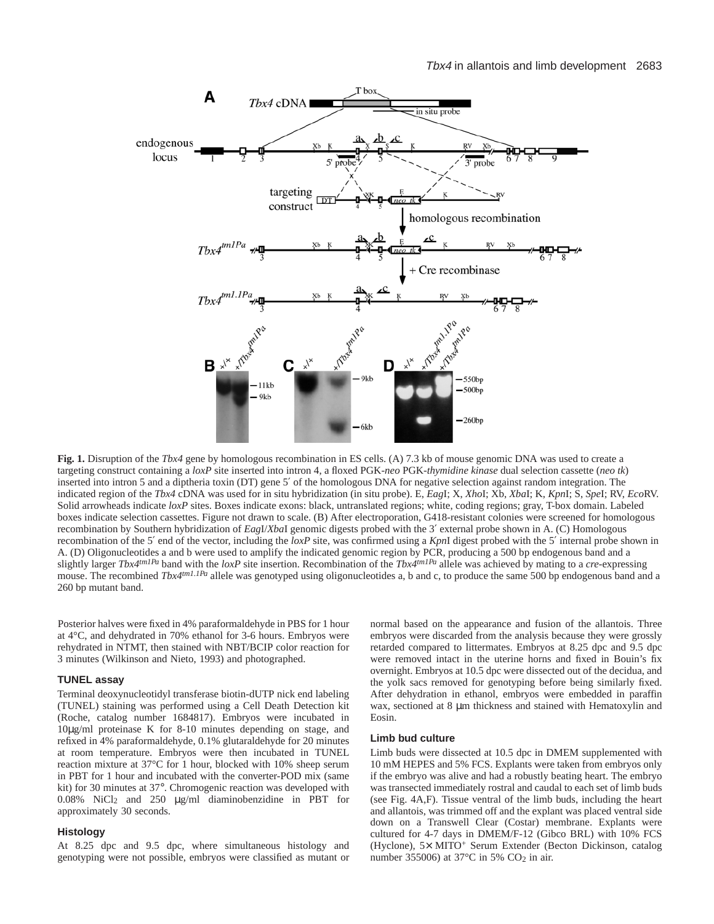

**Fig. 1.** Disruption of the *Tbx4* gene by homologous recombination in ES cells. (A) 7.3 kb of mouse genomic DNA was used to create a targeting construct containing a *loxP* site inserted into intron 4, a floxed PGK-*neo* PGK-*thymidine kinase* dual selection cassette (*neo tk*) inserted into intron 5 and a diptheria toxin (DT) gene 5′ of the homologous DNA for negative selection against random integration. The indicated region of the *Tbx4* cDNA was used for in situ hybridization (in situ probe). E, *Eag*I; X, *Xho*I; Xb, *Xba*I; K, *Kpn*I; S, *Spe*I; RV, *Eco*RV. Solid arrowheads indicate *loxP* sites. Boxes indicate exons: black, untranslated regions; white, coding regions; gray, T-box domain. Labeled boxes indicate selection cassettes. Figure not drawn to scale. (B) After electroporation, G418-resistant colonies were screened for homologous recombination by Southern hybridization of *Eag*I/*Xba*I genomic digests probed with the 3′ external probe shown in A. (C) Homologous recombination of the 5′ end of the vector, including the *loxP* site, was confirmed using a *Kpn*I digest probed with the 5′ internal probe shown in A. (D) Oligonucleotides a and b were used to amplify the indicated genomic region by PCR, producing a 500 bp endogenous band and a slightly larger *Tbx4tm1Pa* band with the *loxP* site insertion. Recombination of the *Tbx4tm1Pa* allele was achieved by mating to a *cre*-expressing mouse. The recombined *Tbx4<sup>tm1.1Pa</sup>* allele was genotyped using oligonucleotides a, b and c, to produce the same 500 bp endogenous band and a 260 bp mutant band.

Posterior halves were fixed in 4% paraformaldehyde in PBS for 1 hour at 4°C, and dehydrated in 70% ethanol for 3-6 hours. Embryos were rehydrated in NTMT, then stained with NBT/BCIP color reaction for 3 minutes (Wilkinson and Nieto, 1993) and photographed.

#### **TUNEL assay**

Terminal deoxynucleotidyl transferase biotin-dUTP nick end labeling (TUNEL) staining was performed using a Cell Death Detection kit (Roche, catalog number 1684817). Embryos were incubated in 10µg/ml proteinase K for 8-10 minutes depending on stage, and refixed in 4% paraformaldehyde, 0.1% glutaraldehyde for 20 minutes at room temperature. Embryos were then incubated in TUNEL reaction mixture at 37°C for 1 hour, blocked with 10% sheep serum in PBT for 1 hour and incubated with the converter-POD mix (same kit) for 30 minutes at 37°. Chromogenic reaction was developed with 0.08% NiCl2 and 250 µg/ml diaminobenzidine in PBT for approximately 30 seconds.

#### **Histology**

At 8.25 dpc and 9.5 dpc, where simultaneous histology and genotyping were not possible, embryos were classified as mutant or normal based on the appearance and fusion of the allantois. Three embryos were discarded from the analysis because they were grossly retarded compared to littermates. Embryos at 8.25 dpc and 9.5 dpc were removed intact in the uterine horns and fixed in Bouin's fix overnight. Embryos at 10.5 dpc were dissected out of the decidua, and the yolk sacs removed for genotyping before being similarly fixed. After dehydration in ethanol, embryos were embedded in paraffin wax, sectioned at 8  $\mu$ m thickness and stained with Hematoxylin and Eosin.

#### **Limb bud culture**

Limb buds were dissected at 10.5 dpc in DMEM supplemented with 10 mM HEPES and 5% FCS. Explants were taken from embryos only if the embryo was alive and had a robustly beating heart. The embryo was transected immediately rostral and caudal to each set of limb buds (see Fig. 4A,F). Tissue ventral of the limb buds, including the heart and allantois, was trimmed off and the explant was placed ventral side down on a Transwell Clear (Costar) membrane. Explants were cultured for 4-7 days in DMEM/F-12 (Gibco BRL) with 10% FCS (Hyclone), 5× MITO<sup>+</sup> Serum Extender (Becton Dickinson, catalog number 355006) at 37 $^{\circ}$ C in 5% CO<sub>2</sub> in air.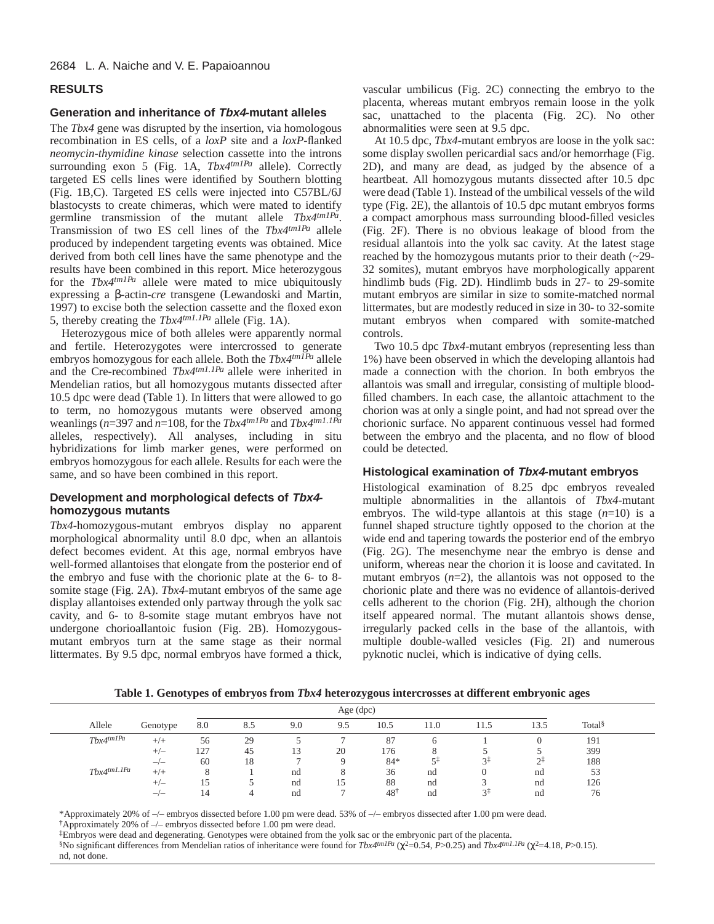# **RESULTS**

## **Generation and inheritance of Tbx4-mutant alleles**

The *Tbx4* gene was disrupted by the insertion, via homologous recombination in ES cells, of a *loxP* site and a *loxP*-flanked *neomycin-thymidine kinase* selection cassette into the introns surrounding exon 5 (Fig. 1A, *Tbx4tm1Pa* allele). Correctly targeted ES cells lines were identified by Southern blotting (Fig. 1B,C). Targeted ES cells were injected into C57BL/6J blastocysts to create chimeras, which were mated to identify germline transmission of the mutant allele *Tbx4tm1Pa*. Transmission of two ES cell lines of the *Tbx4tm1Pa* allele produced by independent targeting events was obtained. Mice derived from both cell lines have the same phenotype and the results have been combined in this report. Mice heterozygous for the *Tbx4tm1Pa* allele were mated to mice ubiquitously expressing a β-actin-*cre* transgene (Lewandoski and Martin, 1997) to excise both the selection cassette and the floxed exon 5, thereby creating the *Tbx4tm1.1Pa* allele (Fig. 1A).

Heterozygous mice of both alleles were apparently normal and fertile. Heterozygotes were intercrossed to generate embryos homozygous for each allele. Both the *Tbx4tm1Pa* allele and the Cre-recombined *Tbx4tm1.1Pa* allele were inherited in Mendelian ratios, but all homozygous mutants dissected after 10.5 dpc were dead (Table 1). In litters that were allowed to go to term, no homozygous mutants were observed among weanlings (*n*=397 and *n*=108, for the *Tbx4tm1Pa* and *Tbx4tm1.1Pa* alleles, respectively). All analyses, including in situ hybridizations for limb marker genes, were performed on embryos homozygous for each allele. Results for each were the same, and so have been combined in this report.

# **Development and morphological defects of Tbx4 homozygous mutants**

*Tbx4*-homozygous-mutant embryos display no apparent morphological abnormality until 8.0 dpc, when an allantois defect becomes evident. At this age, normal embryos have well-formed allantoises that elongate from the posterior end of the embryo and fuse with the chorionic plate at the 6- to 8 somite stage (Fig. 2A). *Tbx4*-mutant embryos of the same age display allantoises extended only partway through the yolk sac cavity, and 6- to 8-somite stage mutant embryos have not undergone chorioallantoic fusion (Fig. 2B). Homozygousmutant embryos turn at the same stage as their normal littermates. By 9.5 dpc, normal embryos have formed a thick,

vascular umbilicus (Fig. 2C) connecting the embryo to the placenta, whereas mutant embryos remain loose in the yolk sac, unattached to the placenta (Fig. 2C). No other abnormalities were seen at 9.5 dpc.

At 10.5 dpc, *Tbx4*-mutant embryos are loose in the yolk sac: some display swollen pericardial sacs and/or hemorrhage (Fig. 2D), and many are dead, as judged by the absence of a heartbeat. All homozygous mutants dissected after 10.5 dpc were dead (Table 1). Instead of the umbilical vessels of the wild type (Fig. 2E), the allantois of 10.5 dpc mutant embryos forms a compact amorphous mass surrounding blood-filled vesicles (Fig. 2F). There is no obvious leakage of blood from the residual allantois into the yolk sac cavity. At the latest stage reached by the homozygous mutants prior to their death (~29- 32 somites), mutant embryos have morphologically apparent hindlimb buds (Fig. 2D). Hindlimb buds in 27- to 29-somite mutant embryos are similar in size to somite-matched normal littermates, but are modestly reduced in size in 30- to 32-somite mutant embryos when compared with somite-matched controls.

Two 10.5 dpc *Tbx4*-mutant embryos (representing less than 1%) have been observed in which the developing allantois had made a connection with the chorion. In both embryos the allantois was small and irregular, consisting of multiple bloodfilled chambers. In each case, the allantoic attachment to the chorion was at only a single point, and had not spread over the chorionic surface. No apparent continuous vessel had formed between the embryo and the placenta, and no flow of blood could be detected.

# **Histological examination of Tbx4-mutant embryos**

Histological examination of 8.25 dpc embryos revealed multiple abnormalities in the allantois of *Tbx4*-mutant embryos. The wild-type allantois at this stage (*n*=10) is a funnel shaped structure tightly opposed to the chorion at the wide end and tapering towards the posterior end of the embryo (Fig. 2G). The mesenchyme near the embryo is dense and uniform, whereas near the chorion it is loose and cavitated. In mutant embryos  $(n=2)$ , the allantois was not opposed to the chorionic plate and there was no evidence of allantois-derived cells adherent to the chorion (Fig. 2H), although the chorion itself appeared normal. The mutant allantois shows dense, irregularly packed cells in the base of the allantois, with multiple double-walled vesicles (Fig. 2I) and numerous pyknotic nuclei, which is indicative of dying cells.

**Table 1. Genotypes of embryos from** *Tbx4* **heterozygous intercrosses at different embryonic ages**

|                  | Age (dpc)    |     |     |     |     |                |      |      |      |                    |  |
|------------------|--------------|-----|-----|-----|-----|----------------|------|------|------|--------------------|--|
| Allele           | Genotype     | 8.0 | 8.5 | 9.0 | 9.5 | 10.5           | 11.0 | 11.5 | 13.5 | Total <sup>§</sup> |  |
| $Tbx4^{tm1Pa}$   | $+/+$        | 56  | 29  |     |     | 87             |      |      |      | 191                |  |
|                  | $+/-$        | 127 | 45  | 15  | 20  | 176            |      |      |      | 399                |  |
|                  | $-/-$        | 60  | 18  |     |     | 84*            |      | ≺∻   |      | 188                |  |
| $Tbx4^{tm1.1Pa}$ | $+/+$        |     |     | nd  |     | 36             | nd   |      | nd   | 53                 |  |
|                  | $+/-$        |     |     | nd  | 15  | 88             | nd   |      | nd   | 126                |  |
|                  | — <u>/</u> — | 14  |     | nd  |     | $48^{\dagger}$ | nd   | ≺∻   | nd   | 76                 |  |

\*Approximately 20% of –/– embryos dissected before 1.00 pm were dead. 53% of –/– embryos dissected after 1.00 pm were dead.

†Approximately 20% of –/– embryos dissected before 1.00 pm were dead.

‡Embryos were dead and degenerating. Genotypes were obtained from the yolk sac or the embryonic part of the placenta.

§No significant differences from Mendelian ratios of inheritance were found for *Tbx4tm1Pa* (χ2=0.54, *P*>0.25) and *Tbx4tm1.1Pa* (χ2=4.18, *P*>0.15). nd, not done.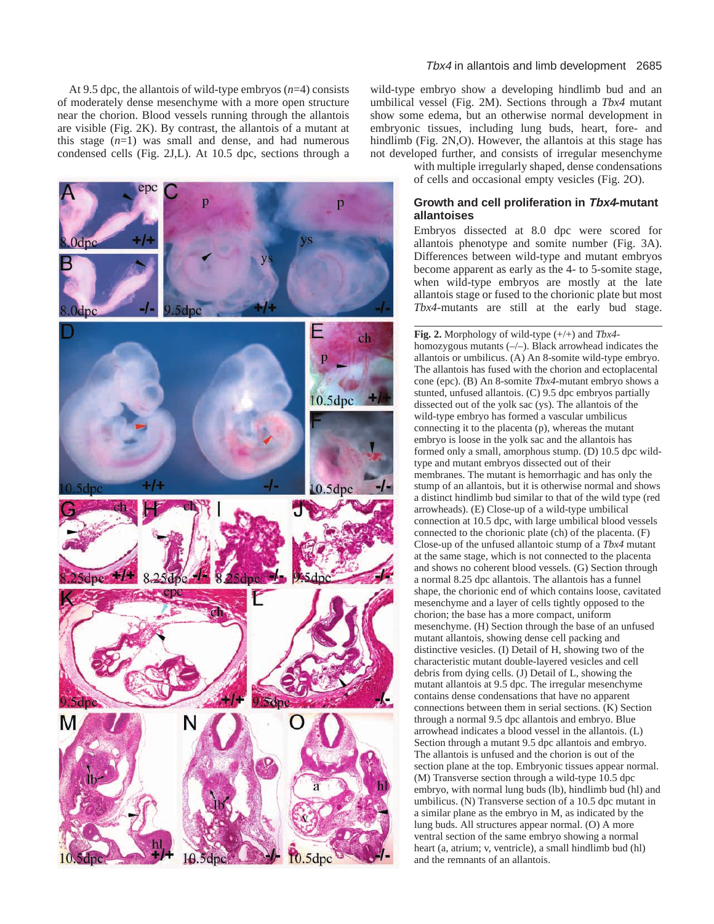At 9.5 dpc, the allantois of wild-type embryos (*n*=4) consists of moderately dense mesenchyme with a more open structure near the chorion. Blood vessels running through the allantois are visible (Fig. 2K). By contrast, the allantois of a mutant at this stage  $(n=1)$  was small and dense, and had numerous condensed cells (Fig. 2J,L). At 10.5 dpc, sections through a



wild-type embryo show a developing hindlimb bud and an umbilical vessel (Fig. 2M). Sections through a *Tbx4* mutant show some edema, but an otherwise normal development in embryonic tissues, including lung buds, heart, fore- and hindlimb (Fig. 2N,O). However, the allantois at this stage has not developed further, and consists of irregular mesenchyme

> with multiple irregularly shaped, dense condensations of cells and occasional empty vesicles (Fig. 2O).

# **Growth and cell proliferation in Tbx4-mutant allantoises**

Embryos dissected at 8.0 dpc were scored for allantois phenotype and somite number (Fig. 3A). Differences between wild-type and mutant embryos become apparent as early as the 4- to 5-somite stage, when wild-type embryos are mostly at the late allantois stage or fused to the chorionic plate but most *Tbx4*-mutants are still at the early bud stage.

**Fig. 2.** Morphology of wild-type (+/+) and *Tbx4* homozygous mutants (–/–). Black arrowhead indicates the allantois or umbilicus. (A) An 8-somite wild-type embryo. The allantois has fused with the chorion and ectoplacental cone (epc). (B) An 8-somite *Tbx4*-mutant embryo shows a stunted, unfused allantois. (C) 9.5 dpc embryos partially dissected out of the yolk sac (ys). The allantois of the wild-type embryo has formed a vascular umbilicus connecting it to the placenta (p), whereas the mutant embryo is loose in the yolk sac and the allantois has formed only a small, amorphous stump. (D) 10.5 dpc wildtype and mutant embryos dissected out of their membranes. The mutant is hemorrhagic and has only the stump of an allantois, but it is otherwise normal and shows a distinct hindlimb bud similar to that of the wild type (red arrowheads). (E) Close-up of a wild-type umbilical connection at 10.5 dpc, with large umbilical blood vessels connected to the chorionic plate (ch) of the placenta. (F) Close-up of the unfused allantoic stump of a *Tbx4* mutant at the same stage, which is not connected to the placenta and shows no coherent blood vessels. (G) Section through a normal 8.25 dpc allantois. The allantois has a funnel shape, the chorionic end of which contains loose, cavitated mesenchyme and a layer of cells tightly opposed to the chorion; the base has a more compact, uniform mesenchyme. (H) Section through the base of an unfused mutant allantois, showing dense cell packing and distinctive vesicles. (I) Detail of H, showing two of the characteristic mutant double-layered vesicles and cell debris from dying cells. (J) Detail of L, showing the mutant allantois at 9.5 dpc. The irregular mesenchyme contains dense condensations that have no apparent connections between them in serial sections. (K) Section through a normal 9.5 dpc allantois and embryo. Blue arrowhead indicates a blood vessel in the allantois. (L) Section through a mutant 9.5 dpc allantois and embryo. The allantois is unfused and the chorion is out of the section plane at the top. Embryonic tissues appear normal. (M) Transverse section through a wild-type 10.5 dpc embryo, with normal lung buds (lb), hindlimb bud (hl) and umbilicus. (N) Transverse section of a 10.5 dpc mutant in a similar plane as the embryo in M, as indicated by the lung buds. All structures appear normal. (O) A more ventral section of the same embryo showing a normal heart (a, atrium; v, ventricle), a small hindlimb bud (hl) and the remnants of an allantois.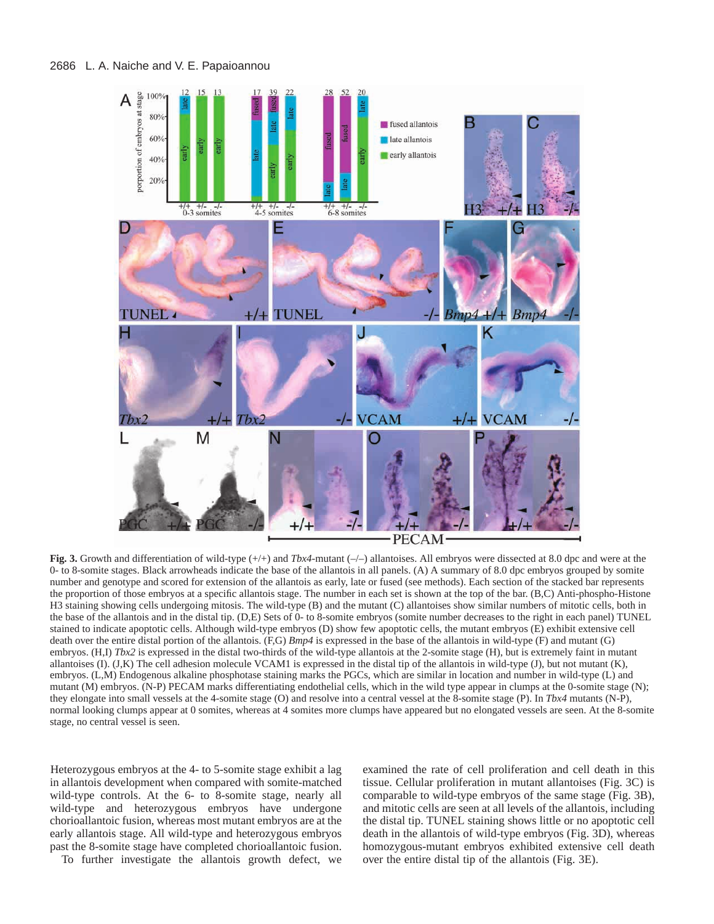

**Fig. 3.** Growth and differentiation of wild-type (+/+) and *Tbx4*-mutant (–/–) allantoises. All embryos were dissected at 8.0 dpc and were at the 0- to 8-somite stages. Black arrowheads indicate the base of the allantois in all panels. (A) A summary of 8.0 dpc embryos grouped by somite number and genotype and scored for extension of the allantois as early, late or fused (see methods). Each section of the stacked bar represents the proportion of those embryos at a specific allantois stage. The number in each set is shown at the top of the bar. (B,C) Anti-phospho-Histone H3 staining showing cells undergoing mitosis. The wild-type (B) and the mutant (C) allantoises show similar numbers of mitotic cells, both in the base of the allantois and in the distal tip. (D,E) Sets of  $\hat{0}$ - to 8-somite embryos (somite number decreases to the right in each panel) TUNEL stained to indicate apoptotic cells. Although wild-type embryos (D) show few apoptotic cells, the mutant embryos (E) exhibit extensive cell death over the entire distal portion of the allantois. (F,G) *Bmp4* is expressed in the base of the allantois in wild-type (F) and mutant (G) embryos. (H,I) *Tbx2* is expressed in the distal two-thirds of the wild-type allantois at the 2-somite stage (H), but is extremely faint in mutant allantoises (I).  $(J,K)$  The cell adhesion molecule VCAM1 is expressed in the distal tip of the allantois in wild-type  $(J)$ , but not mutant  $(K)$ , embryos. (L,M) Endogenous alkaline phosphotase staining marks the PGCs, which are similar in location and number in wild-type (L) and mutant (M) embryos. (N-P) PECAM marks differentiating endothelial cells, which in the wild type appear in clumps at the 0-somite stage (N); they elongate into small vessels at the 4-somite stage (O) and resolve into a central vessel at the 8-somite stage (P). In *Tbx4* mutants (N-P), normal looking clumps appear at 0 somites, whereas at 4 somites more clumps have appeared but no elongated vessels are seen. At the 8-somite stage, no central vessel is seen.

Heterozygous embryos at the 4- to 5-somite stage exhibit a lag in allantois development when compared with somite-matched wild-type controls. At the 6- to 8-somite stage, nearly all wild-type and heterozygous embryos have undergone chorioallantoic fusion, whereas most mutant embryos are at the early allantois stage. All wild-type and heterozygous embryos past the 8-somite stage have completed chorioallantoic fusion.

To further investigate the allantois growth defect, we

examined the rate of cell proliferation and cell death in this tissue. Cellular proliferation in mutant allantoises (Fig. 3C) is comparable to wild-type embryos of the same stage (Fig. 3B), and mitotic cells are seen at all levels of the allantois, including the distal tip. TUNEL staining shows little or no apoptotic cell death in the allantois of wild-type embryos (Fig. 3D), whereas homozygous-mutant embryos exhibited extensive cell death over the entire distal tip of the allantois (Fig. 3E).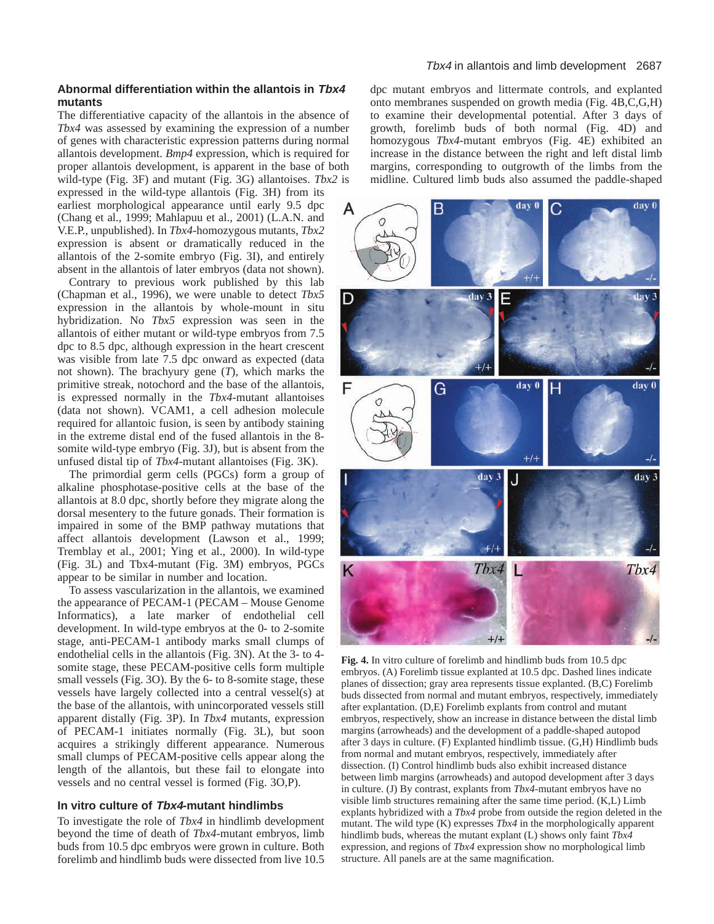# **Abnormal differentiation within the allantois in Tbx4 mutants**

The differentiative capacity of the allantois in the absence of *Tbx4* was assessed by examining the expression of a number of genes with characteristic expression patterns during normal allantois development. *Bmp4* expression, which is required for proper allantois development, is apparent in the base of both wild-type (Fig. 3F) and mutant (Fig. 3G) allantoises. *Tbx2* is expressed in the wild-type allantois (Fig. 3H) from its earliest morphological appearance until early 9.5 dpc (Chang et al., 1999; Mahlapuu et al., 2001) (L.A.N. and V.E.P., unpublished). In *Tbx4*-homozygous mutants, *Tbx2* expression is absent or dramatically reduced in the allantois of the 2-somite embryo (Fig. 3I), and entirely absent in the allantois of later embryos (data not shown).

Contrary to previous work published by this lab (Chapman et al., 1996), we were unable to detect *Tbx5* expression in the allantois by whole-mount in situ hybridization. No *Tbx5* expression was seen in the allantois of either mutant or wild-type embryos from 7.5 dpc to 8.5 dpc, although expression in the heart crescent was visible from late 7.5 dpc onward as expected (data not shown). The brachyury gene (*T*), which marks the primitive streak, notochord and the base of the allantois, is expressed normally in the *Tbx4*-mutant allantoises (data not shown). VCAM1, a cell adhesion molecule required for allantoic fusion, is seen by antibody staining in the extreme distal end of the fused allantois in the 8 somite wild-type embryo (Fig. 3J), but is absent from the unfused distal tip of *Tbx4*-mutant allantoises (Fig. 3K).

The primordial germ cells (PGCs) form a group of alkaline phosphotase-positive cells at the base of the allantois at 8.0 dpc, shortly before they migrate along the dorsal mesentery to the future gonads. Their formation is impaired in some of the BMP pathway mutations that affect allantois development (Lawson et al., 1999; Tremblay et al., 2001; Ying et al., 2000). In wild-type (Fig. 3L) and Tbx4-mutant (Fig. 3M) embryos, PGCs appear to be similar in number and location.

To assess vascularization in the allantois, we examined the appearance of PECAM-1 (PECAM – Mouse Genome Informatics), a late marker of endothelial cell development. In wild-type embryos at the 0- to 2-somite stage, anti-PECAM-1 antibody marks small clumps of endothelial cells in the allantois (Fig. 3N). At the 3- to 4 somite stage, these PECAM-positive cells form multiple small vessels (Fig. 3O). By the 6- to 8-somite stage, these vessels have largely collected into a central vessel(s) at the base of the allantois, with unincorporated vessels still apparent distally (Fig. 3P). In *Tbx4* mutants, expression of PECAM-1 initiates normally (Fig. 3L), but soon acquires a strikingly different appearance. Numerous small clumps of PECAM-positive cells appear along the length of the allantois, but these fail to elongate into vessels and no central vessel is formed (Fig. 3O,P).

# **In vitro culture of Tbx4-mutant hindlimbs**

To investigate the role of *Tbx4* in hindlimb development beyond the time of death of *Tbx4*-mutant embryos, limb buds from 10.5 dpc embryos were grown in culture. Both forelimb and hindlimb buds were dissected from live 10.5

## Tbx4 in allantois and limb development 2687

dpc mutant embryos and littermate controls, and explanted onto membranes suspended on growth media (Fig. 4B,C,G,H) to examine their developmental potential. After 3 days of growth, forelimb buds of both normal (Fig. 4D) and homozygous *Tbx4*-mutant embryos (Fig. 4E) exhibited an increase in the distance between the right and left distal limb margins, corresponding to outgrowth of the limbs from the midline. Cultured limb buds also assumed the paddle-shaped



**Fig. 4.** In vitro culture of forelimb and hindlimb buds from 10.5 dpc embryos. (A) Forelimb tissue explanted at 10.5 dpc. Dashed lines indicate planes of dissection; gray area represents tissue explanted. (B,C) Forelimb buds dissected from normal and mutant embryos, respectively, immediately after explantation. (D,E) Forelimb explants from control and mutant embryos, respectively, show an increase in distance between the distal limb margins (arrowheads) and the development of a paddle-shaped autopod after 3 days in culture. (F) Explanted hindlimb tissue. (G,H) Hindlimb buds from normal and mutant embryos, respectively, immediately after dissection. (I) Control hindlimb buds also exhibit increased distance between limb margins (arrowheads) and autopod development after 3 days in culture. (J) By contrast, explants from *Tbx4*-mutant embryos have no visible limb structures remaining after the same time period. (K,L) Limb explants hybridized with a *Tbx4* probe from outside the region deleted in the mutant. The wild type (K) expresses *Tbx4* in the morphologically apparent hindlimb buds, whereas the mutant explant (L) shows only faint *Tbx4* expression, and regions of *Tbx4* expression show no morphological limb structure. All panels are at the same magnification.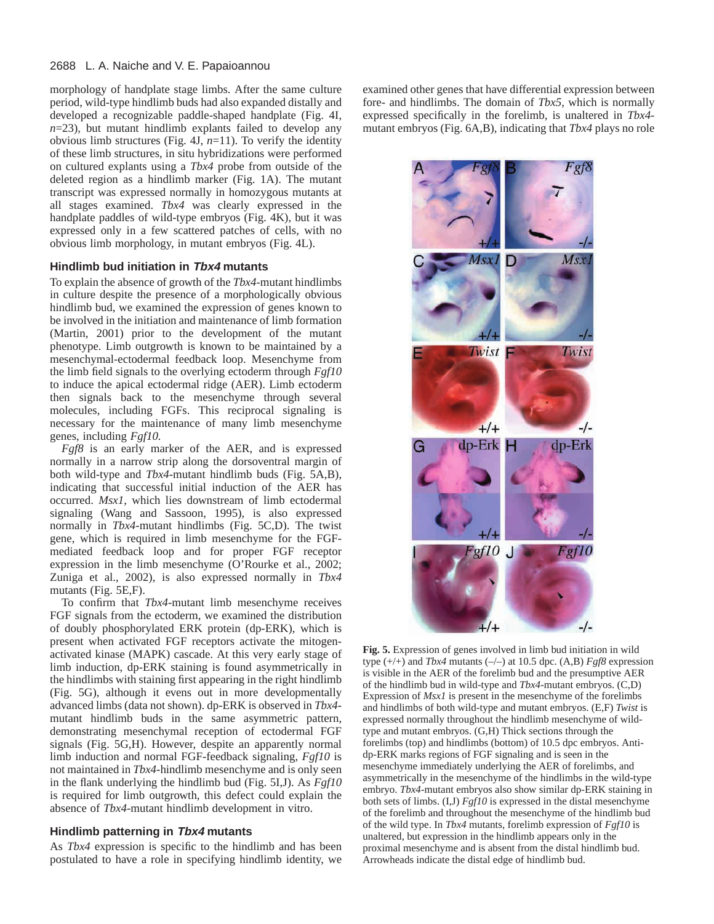### 2688 L. A. Naiche and V. E. Papaioannou

morphology of handplate stage limbs. After the same culture period, wild-type hindlimb buds had also expanded distally and developed a recognizable paddle-shaped handplate (Fig. 4I, *n*=23), but mutant hindlimb explants failed to develop any obvious limb structures (Fig. 4J,  $n=11$ ). To verify the identity of these limb structures, in situ hybridizations were performed on cultured explants using a *Tbx4* probe from outside of the deleted region as a hindlimb marker (Fig. 1A). The mutant transcript was expressed normally in homozygous mutants at all stages examined. *Tbx4* was clearly expressed in the handplate paddles of wild-type embryos (Fig. 4K), but it was expressed only in a few scattered patches of cells, with no obvious limb morphology, in mutant embryos (Fig. 4L).

# **Hindlimb bud initiation in Tbx4 mutants**

To explain the absence of growth of the *Tbx4*-mutant hindlimbs in culture despite the presence of a morphologically obvious hindlimb bud, we examined the expression of genes known to be involved in the initiation and maintenance of limb formation (Martin, 2001) prior to the development of the mutant phenotype. Limb outgrowth is known to be maintained by a mesenchymal-ectodermal feedback loop. Mesenchyme from the limb field signals to the overlying ectoderm through *Fgf10* to induce the apical ectodermal ridge (AER). Limb ectoderm then signals back to the mesenchyme through several molecules, including FGFs. This reciprocal signaling is necessary for the maintenance of many limb mesenchyme genes, including *Fgf10.*

*Fgf8* is an early marker of the AER, and is expressed normally in a narrow strip along the dorsoventral margin of both wild-type and *Tbx4*-mutant hindlimb buds (Fig. 5A,B), indicating that successful initial induction of the AER has occurred. *Msx1*, which lies downstream of limb ectodermal signaling (Wang and Sassoon, 1995), is also expressed normally in *Tbx4*-mutant hindlimbs (Fig. 5C,D). The twist gene, which is required in limb mesenchyme for the FGFmediated feedback loop and for proper FGF receptor expression in the limb mesenchyme (O'Rourke et al., 2002; Zuniga et al., 2002), is also expressed normally in *Tbx4* mutants (Fig. 5E,F).

To confirm that *Tbx4*-mutant limb mesenchyme receives FGF signals from the ectoderm, we examined the distribution of doubly phosphorylated ERK protein (dp-ERK), which is present when activated FGF receptors activate the mitogenactivated kinase (MAPK) cascade. At this very early stage of limb induction, dp-ERK staining is found asymmetrically in the hindlimbs with staining first appearing in the right hindlimb (Fig. 5G), although it evens out in more developmentally advanced limbs (data not shown). dp-ERK is observed in *Tbx4* mutant hindlimb buds in the same asymmetric pattern, demonstrating mesenchymal reception of ectodermal FGF signals (Fig. 5G,H). However, despite an apparently normal limb induction and normal FGF-feedback signaling, *Fgf10* is not maintained in *Tbx4*-hindlimb mesenchyme and is only seen in the flank underlying the hindlimb bud (Fig. 5I,J). As *Fgf10* is required for limb outgrowth, this defect could explain the absence of *Tbx4*-mutant hindlimb development in vitro.

# **Hindlimb patterning in Tbx4 mutants**

As *Tbx4* expression is specific to the hindlimb and has been postulated to have a role in specifying hindlimb identity, we examined other genes that have differential expression between fore- and hindlimbs. The domain of *Tbx5,* which is normally expressed specifically in the forelimb, is unaltered in *Tbx4* mutant embryos (Fig. 6A,B), indicating that *Tbx4* plays no role



**Fig. 5.** Expression of genes involved in limb bud initiation in wild type (+/+) and *Tbx4* mutants (–/–) at 10.5 dpc. (A,B) *Fgf8* expression is visible in the AER of the forelimb bud and the presumptive AER of the hindlimb bud in wild-type and *Tbx4*-mutant embryos. (C,D) Expression of *Msx1* is present in the mesenchyme of the forelimbs and hindlimbs of both wild-type and mutant embryos. (E,F) *Twist* is expressed normally throughout the hindlimb mesenchyme of wildtype and mutant embryos. (G,H) Thick sections through the forelimbs (top) and hindlimbs (bottom) of 10.5 dpc embryos. Antidp-ERK marks regions of FGF signaling and is seen in the mesenchyme immediately underlying the AER of forelimbs, and asymmetrically in the mesenchyme of the hindlimbs in the wild-type embryo. *Tbx4*-mutant embryos also show similar dp-ERK staining in both sets of limbs. (I,J) *Fgf10* is expressed in the distal mesenchyme of the forelimb and throughout the mesenchyme of the hindlimb bud of the wild type. In *Tbx4* mutants, forelimb expression of *Fgf10* is unaltered, but expression in the hindlimb appears only in the proximal mesenchyme and is absent from the distal hindlimb bud. Arrowheads indicate the distal edge of hindlimb bud.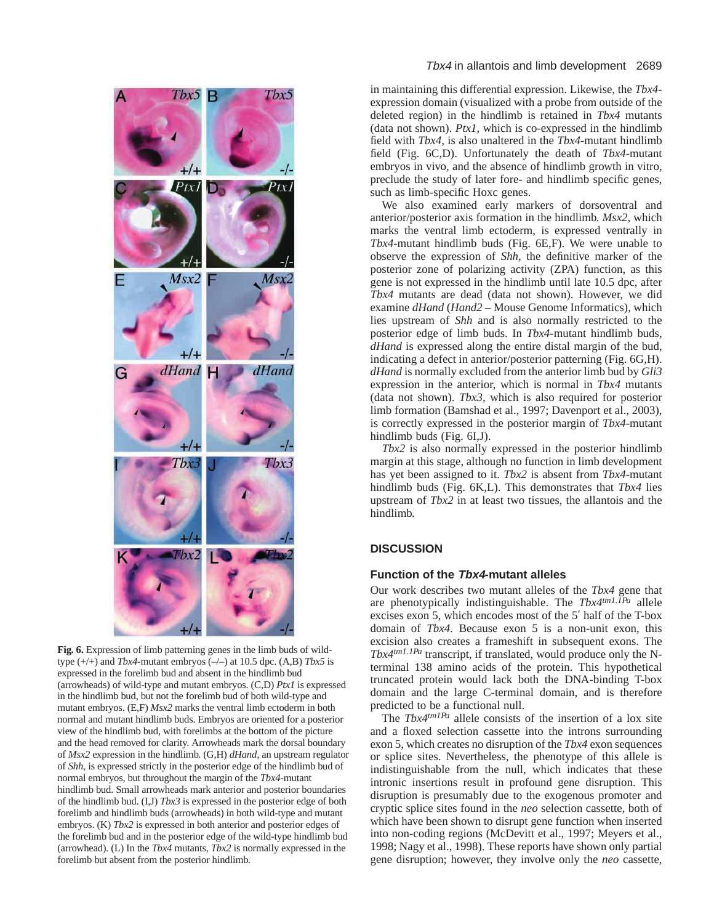

**Fig. 6.** Expression of limb patterning genes in the limb buds of wildtype (+/+) and *Tbx4*-mutant embryos (–/–) at 10.5 dpc. (A,B) *Tbx5* is expressed in the forelimb bud and absent in the hindlimb bud (arrowheads) of wild-type and mutant embryos. (C,D) *Ptx1* is expressed in the hindlimb bud, but not the forelimb bud of both wild-type and mutant embryos. (E,F) *Msx2* marks the ventral limb ectoderm in both normal and mutant hindlimb buds. Embryos are oriented for a posterior view of the hindlimb bud, with forelimbs at the bottom of the picture and the head removed for clarity. Arrowheads mark the dorsal boundary of *Msx2* expression in the hindlimb. (G,H) *dHand*, an upstream regulator of *Shh*, is expressed strictly in the posterior edge of the hindlimb bud of normal embryos, but throughout the margin of the *Tbx4*-mutant hindlimb bud. Small arrowheads mark anterior and posterior boundaries of the hindlimb bud. (I,J) *Tbx3* is expressed in the posterior edge of both forelimb and hindlimb buds (arrowheads) in both wild-type and mutant embryos. (K) *Tbx2* is expressed in both anterior and posterior edges of the forelimb bud and in the posterior edge of the wild-type hindlimb bud (arrowhead). (L) In the *Tbx4* mutants, *Tbx2* is normally expressed in the forelimb but absent from the posterior hindlimb.

in maintaining this differential expression. Likewise, the *Tbx4* expression domain (visualized with a probe from outside of the deleted region) in the hindlimb is retained in *Tbx4* mutants (data not shown). *Ptx1*, which is co-expressed in the hindlimb field with *Tbx4*, is also unaltered in the *Tbx4*-mutant hindlimb field (Fig. 6C,D). Unfortunately the death of *Tbx4*-mutant embryos in vivo*,* and the absence of hindlimb growth in vitro*,* preclude the study of later fore- and hindlimb specific genes, such as limb-specific Hoxc genes.

We also examined early markers of dorsoventral and anterior/posterior axis formation in the hindlimb. *Msx2*, which marks the ventral limb ectoderm, is expressed ventrally in *Tbx4*-mutant hindlimb buds (Fig. 6E,F). We were unable to observe the expression of *Shh*, the definitive marker of the posterior zone of polarizing activity (ZPA) function, as this gene is not expressed in the hindlimb until late 10.5 dpc, after *Tbx4* mutants are dead (data not shown). However, we did examine *dHand* (*Hand2* – Mouse Genome Informatics), which lies upstream of *Shh* and is also normally restricted to the posterior edge of limb buds. In *Tbx4*-mutant hindlimb buds, *dHand* is expressed along the entire distal margin of the bud, indicating a defect in anterior/posterior patterning (Fig. 6G,H). *dHand* is normally excluded from the anterior limb bud by *Gli3* expression in the anterior, which is normal in *Tbx4* mutants (data not shown). *Tbx3*, which is also required for posterior limb formation (Bamshad et al., 1997; Davenport et al., 2003), is correctly expressed in the posterior margin of *Tbx4*-mutant hindlimb buds (Fig. 6I,J).

*Tbx2* is also normally expressed in the posterior hindlimb margin at this stage, although no function in limb development has yet been assigned to it. *Tbx2* is absent from *Tbx4*-mutant hindlimb buds (Fig. 6K,L). This demonstrates that *Tbx4* lies upstream of *Tbx2* in at least two tissues, the allantois and the hindlimb.

# **DISCUSSION**

### **Function of the Tbx4-mutant alleles**

Our work describes two mutant alleles of the *Tbx4* gene that are phenotypically indistinguishable. The *Tbx4tm1.1Pa* allele excises exon 5, which encodes most of the 5′ half of the T-box domain of *Tbx4*. Because exon 5 is a non-unit exon, this excision also creates a frameshift in subsequent exons. The *Tbx4tm1.1Pa* transcript, if translated, would produce only the Nterminal 138 amino acids of the protein. This hypothetical truncated protein would lack both the DNA-binding T-box domain and the large C-terminal domain, and is therefore predicted to be a functional null.

The *Tbx4<sup>tm1Pa</sup>* allele consists of the insertion of a lox site and a floxed selection cassette into the introns surrounding exon 5, which creates no disruption of the *Tbx4* exon sequences or splice sites. Nevertheless, the phenotype of this allele is indistinguishable from the null, which indicates that these intronic insertions result in profound gene disruption. This disruption is presumably due to the exogenous promoter and cryptic splice sites found in the *neo* selection cassette, both of which have been shown to disrupt gene function when inserted into non-coding regions (McDevitt et al., 1997; Meyers et al., 1998; Nagy et al., 1998). These reports have shown only partial gene disruption; however, they involve only the *neo* cassette,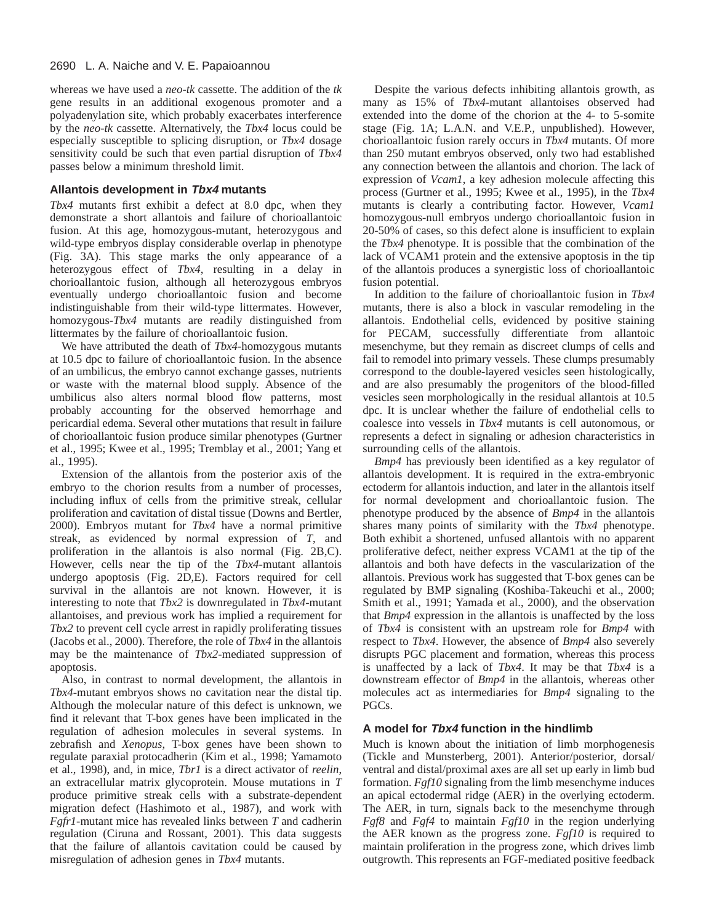# 2690 L. A. Naiche and V. E. Papaioannou

whereas we have used a *neo-tk* cassette. The addition of the *tk* gene results in an additional exogenous promoter and a polyadenylation site, which probably exacerbates interference by the *neo-tk* cassette. Alternatively, the *Tbx4* locus could be especially susceptible to splicing disruption, or *Tbx4* dosage sensitivity could be such that even partial disruption of *Tbx4* passes below a minimum threshold limit.

# **Allantois development in Tbx4 mutants**

*Tbx4* mutants first exhibit a defect at 8.0 dpc, when they demonstrate a short allantois and failure of chorioallantoic fusion. At this age, homozygous-mutant, heterozygous and wild-type embryos display considerable overlap in phenotype (Fig. 3A). This stage marks the only appearance of a heterozygous effect of *Tbx4*, resulting in a delay in chorioallantoic fusion, although all heterozygous embryos eventually undergo chorioallantoic fusion and become indistinguishable from their wild-type littermates. However, homozygous-*Tbx4* mutants are readily distinguished from littermates by the failure of chorioallantoic fusion.

We have attributed the death of *Tbx4*-homozygous mutants at 10.5 dpc to failure of chorioallantoic fusion. In the absence of an umbilicus, the embryo cannot exchange gasses, nutrients or waste with the maternal blood supply. Absence of the umbilicus also alters normal blood flow patterns, most probably accounting for the observed hemorrhage and pericardial edema. Several other mutations that result in failure of chorioallantoic fusion produce similar phenotypes (Gurtner et al., 1995; Kwee et al., 1995; Tremblay et al., 2001; Yang et al., 1995).

Extension of the allantois from the posterior axis of the embryo to the chorion results from a number of processes, including influx of cells from the primitive streak, cellular proliferation and cavitation of distal tissue (Downs and Bertler, 2000). Embryos mutant for *Tbx4* have a normal primitive streak, as evidenced by normal expression of *T*, and proliferation in the allantois is also normal (Fig. 2B,C). However, cells near the tip of the *Tbx4*-mutant allantois undergo apoptosis (Fig. 2D,E). Factors required for cell survival in the allantois are not known. However, it is interesting to note that *Tbx2* is downregulated in *Tbx4*-mutant allantoises, and previous work has implied a requirement for *Tbx2* to prevent cell cycle arrest in rapidly proliferating tissues (Jacobs et al., 2000). Therefore, the role of *Tbx4* in the allantois may be the maintenance of *Tbx2*-mediated suppression of apoptosis.

Also, in contrast to normal development, the allantois in *Tbx4*-mutant embryos shows no cavitation near the distal tip. Although the molecular nature of this defect is unknown, we find it relevant that T-box genes have been implicated in the regulation of adhesion molecules in several systems. In zebrafish and *Xenopus*, T-box genes have been shown to regulate paraxial protocadherin (Kim et al., 1998; Yamamoto et al., 1998), and, in mice, *Tbr1* is a direct activator of *reelin*, an extracellular matrix glycoprotein. Mouse mutations in *T* produce primitive streak cells with a substrate-dependent migration defect (Hashimoto et al., 1987), and work with *Fgfr1*-mutant mice has revealed links between *T* and cadherin regulation (Ciruna and Rossant, 2001). This data suggests that the failure of allantois cavitation could be caused by misregulation of adhesion genes in *Tbx4* mutants.

Despite the various defects inhibiting allantois growth, as many as 15% of *Tbx4*-mutant allantoises observed had extended into the dome of the chorion at the 4- to 5-somite stage (Fig. 1A; L.A.N. and V.E.P., unpublished). However, chorioallantoic fusion rarely occurs in *Tbx4* mutants. Of more than 250 mutant embryos observed, only two had established any connection between the allantois and chorion. The lack of expression of *Vcam1*, a key adhesion molecule affecting this process (Gurtner et al., 1995; Kwee et al., 1995), in the *Tbx4* mutants is clearly a contributing factor. However, *Vcam1* homozygous-null embryos undergo chorioallantoic fusion in 20-50% of cases, so this defect alone is insufficient to explain the *Tbx4* phenotype. It is possible that the combination of the lack of VCAM1 protein and the extensive apoptosis in the tip of the allantois produces a synergistic loss of chorioallantoic fusion potential.

In addition to the failure of chorioallantoic fusion in *Tbx4* mutants, there is also a block in vascular remodeling in the allantois. Endothelial cells, evidenced by positive staining for PECAM, successfully differentiate from allantoic mesenchyme, but they remain as discreet clumps of cells and fail to remodel into primary vessels. These clumps presumably correspond to the double-layered vesicles seen histologically, and are also presumably the progenitors of the blood-filled vesicles seen morphologically in the residual allantois at 10.5 dpc. It is unclear whether the failure of endothelial cells to coalesce into vessels in *Tbx4* mutants is cell autonomous, or represents a defect in signaling or adhesion characteristics in surrounding cells of the allantois.

*Bmp4* has previously been identified as a key regulator of allantois development. It is required in the extra-embryonic ectoderm for allantois induction, and later in the allantois itself for normal development and chorioallantoic fusion. The phenotype produced by the absence of *Bmp4* in the allantois shares many points of similarity with the *Tbx4* phenotype. Both exhibit a shortened, unfused allantois with no apparent proliferative defect, neither express VCAM1 at the tip of the allantois and both have defects in the vascularization of the allantois. Previous work has suggested that T-box genes can be regulated by BMP signaling (Koshiba-Takeuchi et al., 2000; Smith et al., 1991; Yamada et al., 2000), and the observation that *Bmp4* expression in the allantois is unaffected by the loss of *Tbx4* is consistent with an upstream role for *Bmp4* with respect to *Tbx4*. However, the absence of *Bmp4* also severely disrupts PGC placement and formation, whereas this process is unaffected by a lack of *Tbx4*. It may be that *Tbx4* is a downstream effector of *Bmp4* in the allantois, whereas other molecules act as intermediaries for *Bmp4* signaling to the PGCs.

# **A model for Tbx4 function in the hindlimb**

Much is known about the initiation of limb morphogenesis (Tickle and Munsterberg, 2001). Anterior/posterior, dorsal/ ventral and distal/proximal axes are all set up early in limb bud formation. *Fgf10* signaling from the limb mesenchyme induces an apical ectodermal ridge (AER) in the overlying ectoderm. The AER, in turn, signals back to the mesenchyme through *Fgf8* and *Fgf4* to maintain *Fgf10* in the region underlying the AER known as the progress zone. *Fgf10* is required to maintain proliferation in the progress zone, which drives limb outgrowth. This represents an FGF-mediated positive feedback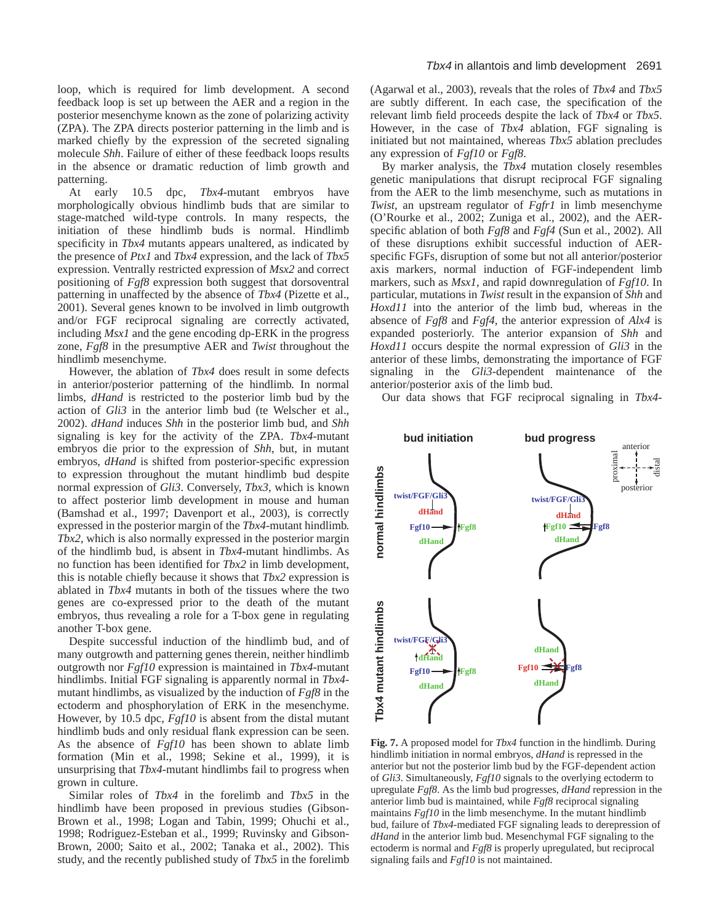loop, which is required for limb development. A second feedback loop is set up between the AER and a region in the posterior mesenchyme known as the zone of polarizing activity (ZPA). The ZPA directs posterior patterning in the limb and is marked chiefly by the expression of the secreted signaling molecule *Shh*. Failure of either of these feedback loops results in the absence or dramatic reduction of limb growth and patterning.

At early 10.5 dpc, *Tbx4*-mutant embryos have morphologically obvious hindlimb buds that are similar to stage-matched wild-type controls. In many respects, the initiation of these hindlimb buds is normal. Hindlimb specificity in *Tbx4* mutants appears unaltered, as indicated by the presence of *Ptx1* and *Tbx4* expression, and the lack of *Tbx5* expression. Ventrally restricted expression of *Msx2* and correct positioning of *Fgf8* expression both suggest that dorsoventral patterning in unaffected by the absence of *Tbx4* (Pizette et al., 2001). Several genes known to be involved in limb outgrowth and/or FGF reciprocal signaling are correctly activated, including *Msx1* and the gene encoding dp-ERK in the progress zone, *Fgf8* in the presumptive AER and *Twist* throughout the hindlimb mesenchyme.

However, the ablation of *Tbx4* does result in some defects in anterior/posterior patterning of the hindlimb. In normal limbs, *dHand* is restricted to the posterior limb bud by the action of *Gli3* in the anterior limb bud (te Welscher et al., 2002). *dHand* induces *Shh* in the posterior limb bud, and *Shh* signaling is key for the activity of the ZPA. *Tbx4*-mutant embryos die prior to the expression of *Shh*, but, in mutant embryos, *dHand* is shifted from posterior-specific expression to expression throughout the mutant hindlimb bud despite normal expression of *Gli3*. Conversely, *Tbx3*, which is known to affect posterior limb development in mouse and human (Bamshad et al., 1997; Davenport et al., 2003), is correctly expressed in the posterior margin of the *Tbx4*-mutant hindlimb. *Tbx2*, which is also normally expressed in the posterior margin of the hindlimb bud, is absent in *Tbx4*-mutant hindlimbs. As no function has been identified for *Tbx2* in limb development, this is notable chiefly because it shows that *Tbx2* expression is ablated in *Tbx4* mutants in both of the tissues where the two genes are co-expressed prior to the death of the mutant embryos, thus revealing a role for a T-box gene in regulating another T-box gene.

Despite successful induction of the hindlimb bud, and of many outgrowth and patterning genes therein, neither hindlimb outgrowth nor *Fgf10* expression is maintained in *Tbx4*-mutant hindlimbs. Initial FGF signaling is apparently normal in *Tbx4* mutant hindlimbs, as visualized by the induction of *Fgf8* in the ectoderm and phosphorylation of ERK in the mesenchyme. However, by 10.5 dpc, *Fgf10* is absent from the distal mutant hindlimb buds and only residual flank expression can be seen. As the absence of *Fgf10* has been shown to ablate limb formation (Min et al., 1998; Sekine et al., 1999), it is unsurprising that *Tbx4*-mutant hindlimbs fail to progress when grown in culture.

Similar roles of *Tbx4* in the forelimb and *Tbx5* in the hindlimb have been proposed in previous studies (Gibson-Brown et al., 1998; Logan and Tabin, 1999; Ohuchi et al., 1998; Rodriguez-Esteban et al., 1999; Ruvinsky and Gibson-Brown, 2000; Saito et al., 2002; Tanaka et al., 2002). This study, and the recently published study of *Tbx5* in the forelimb (Agarwal et al., 2003), reveals that the roles of *Tbx4* and *Tbx5* are subtly different. In each case, the specification of the relevant limb field proceeds despite the lack of *Tbx4* or *Tbx5*. However, in the case of *Tbx4* ablation, FGF signaling is initiated but not maintained, whereas *Tbx5* ablation precludes any expression of *Fgf10* or *Fgf8*.

By marker analysis, the *Tbx4* mutation closely resembles genetic manipulations that disrupt reciprocal FGF signaling from the AER to the limb mesenchyme, such as mutations in *Twist*, an upstream regulator of *Fgfr1* in limb mesenchyme (O'Rourke et al., 2002; Zuniga et al., 2002), and the AERspecific ablation of both *Fgf8* and *Fgf4* (Sun et al., 2002). All of these disruptions exhibit successful induction of AERspecific FGFs, disruption of some but not all anterior/posterior axis markers, normal induction of FGF-independent limb markers, such as *Msx1*, and rapid downregulation of *Fgf10*. In particular, mutations in *Twist* result in the expansion of *Shh* and *Hoxd11* into the anterior of the limb bud, whereas in the absence of *Fgf8* and *Fgf4*, the anterior expression of *Alx4* is expanded posteriorly. The anterior expansion of *Shh* and *Hoxd11* occurs despite the normal expression of *Gli3* in the anterior of these limbs, demonstrating the importance of FGF signaling in the *Gli3*-dependent maintenance of the anterior/posterior axis of the limb bud.

Our data shows that FGF reciprocal signaling in *Tbx4*-



**Fig. 7.** A proposed model for *Tbx4* function in the hindlimb. During hindlimb initiation in normal embryos, *dHand* is repressed in the anterior but not the posterior limb bud by the FGF-dependent action of *Gli3*. Simultaneously, *Fgf10* signals to the overlying ectoderm to upregulate *Fgf8*. As the limb bud progresses, *dHand* repression in the anterior limb bud is maintained, while *Fgf8* reciprocal signaling maintains *Fgf10* in the limb mesenchyme. In the mutant hindlimb bud, failure of *Tbx4*-mediated FGF signaling leads to derepression of *dHand* in the anterior limb bud. Mesenchymal FGF signaling to the ectoderm is normal and *Fgf8* is properly upregulated, but reciprocal signaling fails and *Fgf10* is not maintained.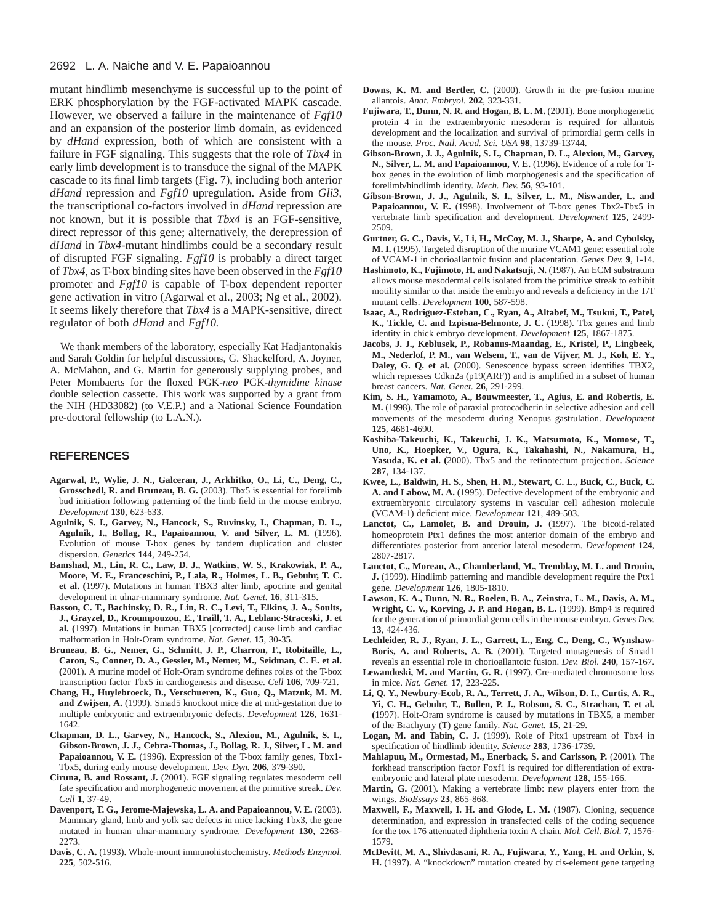### 2692 L. A. Naiche and V. E. Papaioannou

mutant hindlimb mesenchyme is successful up to the point of ERK phosphorylation by the FGF-activated MAPK cascade. However, we observed a failure in the maintenance of *Fgf10* and an expansion of the posterior limb domain, as evidenced by *dHand* expression, both of which are consistent with a failure in FGF signaling. This suggests that the role of *Tbx4* in early limb development is to transduce the signal of the MAPK cascade to its final limb targets (Fig. 7), including both anterior *dHand* repression and *Fgf10* upregulation. Aside from *Gli3*, the transcriptional co-factors involved in *dHand* repression are not known, but it is possible that *Tbx4* is an FGF-sensitive, direct repressor of this gene; alternatively, the derepression of *dHand* in *Tbx4*-mutant hindlimbs could be a secondary result of disrupted FGF signaling. *Fgf10* is probably a direct target of *Tbx4*, as T-box binding sites have been observed in the *Fgf10* promoter and *Fgf10* is capable of T-box dependent reporter gene activation in vitro (Agarwal et al., 2003; Ng et al., 2002). It seems likely therefore that *Tbx4* is a MAPK-sensitive, direct regulator of both *dHand* and *Fgf10.*

We thank members of the laboratory, especially Kat Hadjantonakis and Sarah Goldin for helpful discussions, G. Shackelford, A. Joyner, A. McMahon, and G. Martin for generously supplying probes, and Peter Mombaerts for the floxed PGK-*neo* PGK-*thymidine kinase* double selection cassette. This work was supported by a grant from the NIH (HD33082) (to V.E.P.) and a National Science Foundation pre-doctoral fellowship (to L.A.N.).

## **REFERENCES**

- **Agarwal, P., Wylie, J. N., Galceran, J., Arkhitko, O., Li, C., Deng, C., Grosschedl, R. and Bruneau, B. G.** (2003). Tbx5 is essential for forelimb bud initiation following patterning of the limb field in the mouse embryo. *Development* **130**, 623-633.
- **Agulnik, S. I., Garvey, N., Hancock, S., Ruvinsky, I., Chapman, D. L., Agulnik, I., Bollag, R., Papaioannou, V. and Silver, L. M.** (1996). Evolution of mouse T-box genes by tandem duplication and cluster dispersion. *Genetics* **144**, 249-254.
- **Bamshad, M., Lin, R. C., Law, D. J., Watkins, W. S., Krakowiak, P. A., Moore, M. E., Franceschini, P., Lala, R., Holmes, L. B., Gebuhr, T. C. et al. (**1997). Mutations in human TBX3 alter limb, apocrine and genital development in ulnar-mammary syndrome. *Nat. Genet.* **16**, 311-315.
- **Basson, C. T., Bachinsky, D. R., Lin, R. C., Levi, T., Elkins, J. A., Soults, J., Grayzel, D., Kroumpouzou, E., Traill, T. A., Leblanc-Straceski, J. et al. (**1997). Mutations in human TBX5 [corrected] cause limb and cardiac malformation in Holt-Oram syndrome. *Nat. Genet.* **15**, 30-35.
- **Bruneau, B. G., Nemer, G., Schmitt, J. P., Charron, F., Robitaille, L., Caron, S., Conner, D. A., Gessler, M., Nemer, M., Seidman, C. E. et al. (**2001). A murine model of Holt-Oram syndrome defines roles of the T-box transcription factor Tbx5 in cardiogenesis and disease. *Cell* **106**, 709-721.
- **Chang, H., Huylebroeck, D., Verschueren, K., Guo, Q., Matzuk, M. M. and Zwijsen, A.** (1999). Smad5 knockout mice die at mid-gestation due to multiple embryonic and extraembryonic defects. *Development* **126**, 1631- 1642.
- **Chapman, D. L., Garvey, N., Hancock, S., Alexiou, M., Agulnik, S. I., Gibson-Brown, J. J., Cebra-Thomas, J., Bollag, R. J., Silver, L. M. and Papaioannou, V. E.** (1996). Expression of the T-box family genes, Tbx1- Tbx5, during early mouse development. *Dev. Dyn.* **206**, 379-390.
- **Ciruna, B. and Rossant, J.** (2001). FGF signaling regulates mesoderm cell fate specification and morphogenetic movement at the primitive streak. *Dev. Cell* **1**, 37-49.
- **Davenport, T. G., Jerome-Majewska, L. A. and Papaioannou, V. E.** (2003). Mammary gland, limb and yolk sac defects in mice lacking Tbx3, the gene mutated in human ulnar-mammary syndrome. *Development* **130**, 2263- 2273.
- **Davis, C. A.** (1993). Whole-mount immunohistochemistry. *Methods Enzymol.* **225**, 502-516.
- **Downs, K. M. and Bertler, C.** (2000). Growth in the pre-fusion murine allantois. *Anat. Embryol.* **202**, 323-331.
- **Fujiwara, T., Dunn, N. R. and Hogan, B. L. M.** (2001). Bone morphogenetic protein 4 in the extraembryonic mesoderm is required for allantois development and the localization and survival of primordial germ cells in the mouse. *Proc. Natl. Acad. Sci. USA* **98**, 13739-13744.
- **Gibson-Brown, J. J., Agulnik, S. I., Chapman, D. L., Alexiou, M., Garvey, N., Silver, L. M. and Papaioannou, V. E.** (1996). Evidence of a role for Tbox genes in the evolution of limb morphogenesis and the specification of forelimb/hindlimb identity. *Mech. Dev.* **56**, 93-101.
- **Gibson-Brown, J. J., Agulnik, S. I., Silver, L. M., Niswander, L. and Papaioannou, V. E.** (1998). Involvement of T-box genes Tbx2-Tbx5 in vertebrate limb specification and development. *Development* **125**, 2499- 2509.
- **Gurtner, G. C., Davis, V., Li, H., McCoy, M. J., Sharpe, A. and Cybulsky, M. I.** (1995). Targeted disruption of the murine VCAM1 gene: essential role of VCAM-1 in chorioallantoic fusion and placentation. *Genes Dev.* **9**, 1-14.
- **Hashimoto, K., Fujimoto, H. and Nakatsuji, N.** (1987). An ECM substratum allows mouse mesodermal cells isolated from the primitive streak to exhibit motility similar to that inside the embryo and reveals a deficiency in the T/T mutant cells. *Development* **100**, 587-598.
- **Isaac, A., Rodriguez-Esteban, C., Ryan, A., Altabef, M., Tsukui, T., Patel, K., Tickle, C. and Izpisua-Belmonte, J. C.** (1998). Tbx genes and limb identity in chick embryo development. *Development* **125**, 1867-1875.
- **Jacobs, J. J., Keblusek, P., Robanus-Maandag, E., Kristel, P., Lingbeek, M., Nederlof, P. M., van Welsem, T., van de Vijver, M. J., Koh, E. Y., Daley, G. Q. et al. (**2000). Senescence bypass screen identifies TBX2, which represses Cdkn2a (p19(ARF)) and is amplified in a subset of human breast cancers. *Nat. Genet.* **26**, 291-299.
- **Kim, S. H., Yamamoto, A., Bouwmeester, T., Agius, E. and Robertis, E. M.** (1998). The role of paraxial protocadherin in selective adhesion and cell movements of the mesoderm during Xenopus gastrulation. *Development* **125**, 4681-4690.
- **Koshiba-Takeuchi, K., Takeuchi, J. K., Matsumoto, K., Momose, T., Uno, K., Hoepker, V., Ogura, K., Takahashi, N., Nakamura, H., Yasuda, K. et al. (**2000). Tbx5 and the retinotectum projection. *Science* **287**, 134-137.
- **Kwee, L., Baldwin, H. S., Shen, H. M., Stewart, C. L., Buck, C., Buck, C. A. and Labow, M. A.** (1995). Defective development of the embryonic and extraembryonic circulatory systems in vascular cell adhesion molecule (VCAM-1) deficient mice. *Development* **121**, 489-503.
- **Lanctot, C., Lamolet, B. and Drouin, J.** (1997). The bicoid-related homeoprotein Ptx1 defines the most anterior domain of the embryo and differentiates posterior from anterior lateral mesoderm. *Development* **124**, 2807-2817.
- **Lanctot, C., Moreau, A., Chamberland, M., Tremblay, M. L. and Drouin, J.** (1999). Hindlimb patterning and mandible development require the Ptx1 gene. *Development* **126**, 1805-1810.
- **Lawson, K. A., Dunn, N. R., Roelen, B. A., Zeinstra, L. M., Davis, A. M., Wright, C. V., Korving, J. P. and Hogan, B. L.** (1999). Bmp4 is required for the generation of primordial germ cells in the mouse embryo. *Genes Dev.* **13**, 424-436.
- **Lechleider, R. J., Ryan, J. L., Garrett, L., Eng, C., Deng, C., Wynshaw-Boris, A. and Roberts, A. B.** (2001). Targeted mutagenesis of Smad1 reveals an essential role in chorioallantoic fusion. *Dev. Biol.* **240**, 157-167.
- **Lewandoski, M. and Martin, G. R.** (1997). Cre-mediated chromosome loss in mice. *Nat. Genet.* **17**, 223-225.
- **Li, Q. Y., Newbury-Ecob, R. A., Terrett, J. A., Wilson, D. I., Curtis, A. R., Yi, C. H., Gebuhr, T., Bullen, P. J., Robson, S. C., Strachan, T. et al. (**1997). Holt-Oram syndrome is caused by mutations in TBX5, a member of the Brachyury (T) gene family. *Nat. Genet.* **15**, 21-29.
- **Logan, M. and Tabin, C. J.** (1999). Role of Pitx1 upstream of Tbx4 in specification of hindlimb identity. *Science* **283**, 1736-1739.
- **Mahlapuu, M., Ormestad, M., Enerback, S. and Carlsson, P.** (2001). The forkhead transcription factor Foxf1 is required for differentiation of extraembryonic and lateral plate mesoderm. *Development* **128**, 155-166.
- **Martin, G.** (2001). Making a vertebrate limb: new players enter from the wings. *BioEssays* **23**, 865-868.
- **Maxwell, F., Maxwell, I. H. and Glode, L. M.** (1987). Cloning, sequence determination, and expression in transfected cells of the coding sequence for the tox 176 attenuated diphtheria toxin A chain. *Mol. Cell. Biol.* **7**, 1576- 1579.
- **McDevitt, M. A., Shivdasani, R. A., Fujiwara, Y., Yang, H. and Orkin, S. H.** (1997). A "knockdown" mutation created by cis-element gene targeting